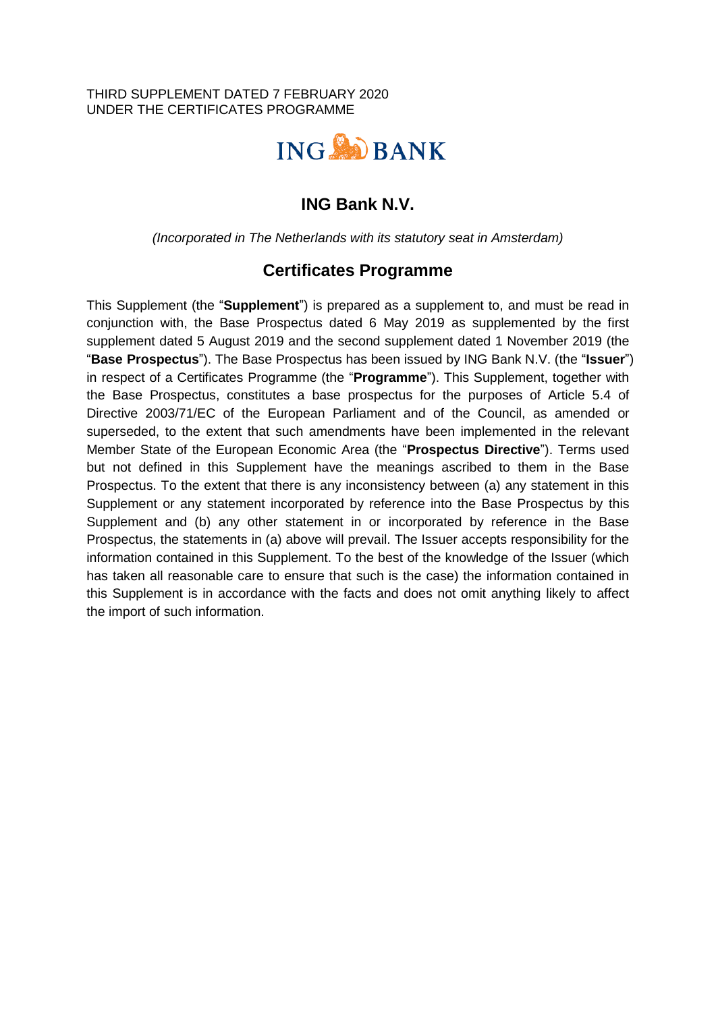#### THIRD SUPPLEMENT DATED 7 FEBRUARY 2020 UNDER THE CERTIFICATES PROGRAMME



# **ING Bank N.V.**

*(Incorporated in The Netherlands with its statutory seat in Amsterdam)*

## **Certificates Programme**

This Supplement (the "**Supplement**") is prepared as a supplement to, and must be read in conjunction with, the Base Prospectus dated 6 May 2019 as supplemented by the first supplement dated 5 August 2019 and the second supplement dated 1 November 2019 (the "**Base Prospectus**"). The Base Prospectus has been issued by ING Bank N.V. (the "**Issuer**") in respect of a Certificates Programme (the "**Programme**"). This Supplement, together with the Base Prospectus, constitutes a base prospectus for the purposes of Article 5.4 of Directive 2003/71/EC of the European Parliament and of the Council, as amended or superseded, to the extent that such amendments have been implemented in the relevant Member State of the European Economic Area (the "**Prospectus Directive**"). Terms used but not defined in this Supplement have the meanings ascribed to them in the Base Prospectus. To the extent that there is any inconsistency between (a) any statement in this Supplement or any statement incorporated by reference into the Base Prospectus by this Supplement and (b) any other statement in or incorporated by reference in the Base Prospectus, the statements in (a) above will prevail. The Issuer accepts responsibility for the information contained in this Supplement. To the best of the knowledge of the Issuer (which has taken all reasonable care to ensure that such is the case) the information contained in this Supplement is in accordance with the facts and does not omit anything likely to affect the import of such information.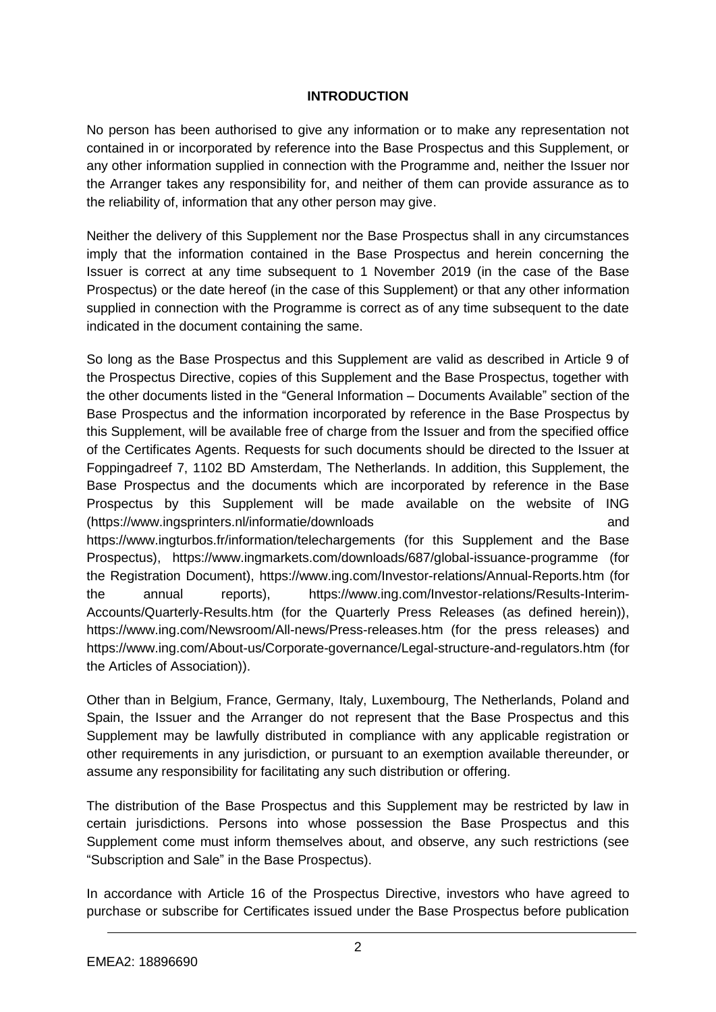### **INTRODUCTION**

No person has been authorised to give any information or to make any representation not contained in or incorporated by reference into the Base Prospectus and this Supplement, or any other information supplied in connection with the Programme and, neither the Issuer nor the Arranger takes any responsibility for, and neither of them can provide assurance as to the reliability of, information that any other person may give.

Neither the delivery of this Supplement nor the Base Prospectus shall in any circumstances imply that the information contained in the Base Prospectus and herein concerning the Issuer is correct at any time subsequent to 1 November 2019 (in the case of the Base Prospectus) or the date hereof (in the case of this Supplement) or that any other information supplied in connection with the Programme is correct as of any time subsequent to the date indicated in the document containing the same.

So long as the Base Prospectus and this Supplement are valid as described in Article 9 of the Prospectus Directive, copies of this Supplement and the Base Prospectus, together with the other documents listed in the "General Information – Documents Available" section of the Base Prospectus and the information incorporated by reference in the Base Prospectus by this Supplement, will be available free of charge from the Issuer and from the specified office of the Certificates Agents. Requests for such documents should be directed to the Issuer at Foppingadreef 7, 1102 BD Amsterdam, The Netherlands. In addition, this Supplement, the Base Prospectus and the documents which are incorporated by reference in the Base Prospectus by this Supplement will be made available on the website of ING (https://www.ingsprinters.nl/informatie/downloads and https://www.ingturbos.fr/information/telechargements (for this Supplement and the Base Prospectus), https://www.ingmarkets.com/downloads/687/global-issuance-programme (for the Registration Document), https://www.ing.com/Investor-relations/Annual-Reports.htm (for the annual reports), https://www.ing.com/Investor-relations/Results-Interim-Accounts/Quarterly-Results.htm (for the Quarterly Press Releases (as defined herein)), https://www.ing.com/Newsroom/All-news/Press-releases.htm (for the press releases) and https://www.ing.com/About-us/Corporate-governance/Legal-structure-and-regulators.htm (for the Articles of Association)).

Other than in Belgium, France, Germany, Italy, Luxembourg, The Netherlands, Poland and Spain, the Issuer and the Arranger do not represent that the Base Prospectus and this Supplement may be lawfully distributed in compliance with any applicable registration or other requirements in any jurisdiction, or pursuant to an exemption available thereunder, or assume any responsibility for facilitating any such distribution or offering.

The distribution of the Base Prospectus and this Supplement may be restricted by law in certain jurisdictions. Persons into whose possession the Base Prospectus and this Supplement come must inform themselves about, and observe, any such restrictions (see "Subscription and Sale" in the Base Prospectus).

In accordance with Article 16 of the Prospectus Directive, investors who have agreed to purchase or subscribe for Certificates issued under the Base Prospectus before publication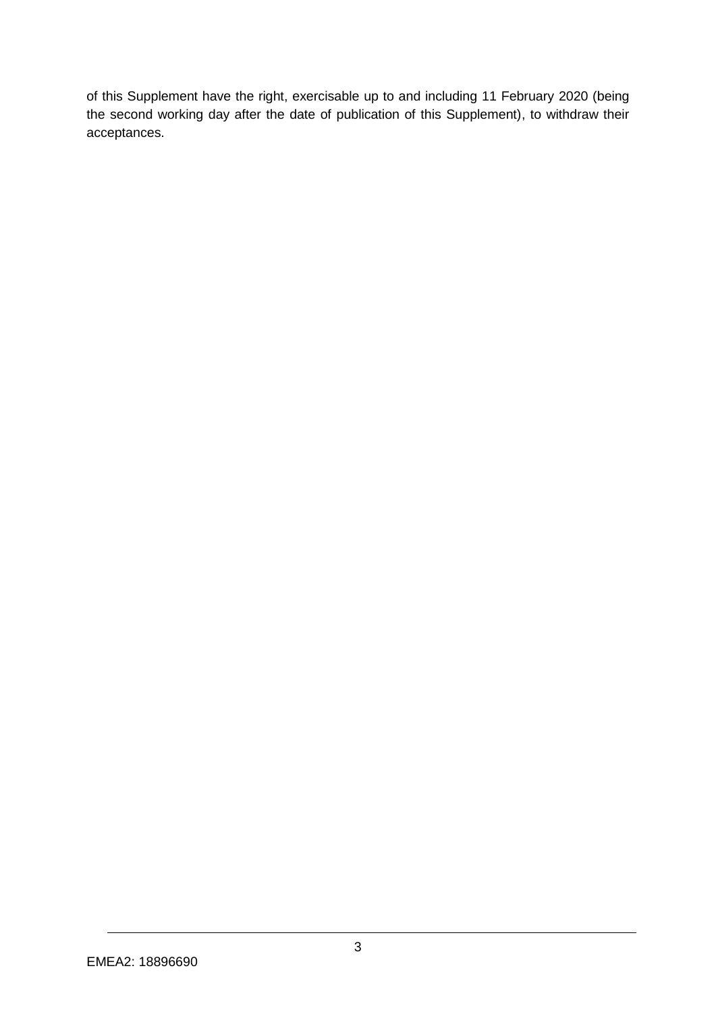of this Supplement have the right, exercisable up to and including 11 February 2020 (being the second working day after the date of publication of this Supplement), to withdraw their acceptances.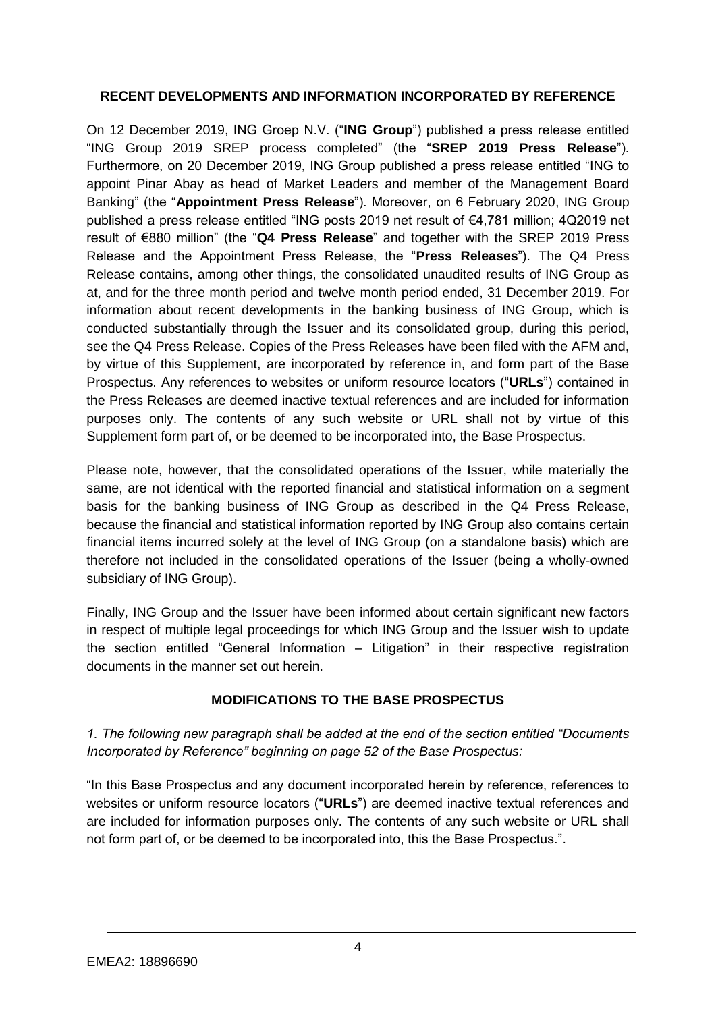## **RECENT DEVELOPMENTS AND INFORMATION INCORPORATED BY REFERENCE**

On 12 December 2019, ING Groep N.V. ("**ING Group**") published a press release entitled "ING Group 2019 SREP process completed" (the "**SREP 2019 Press Release**"). Furthermore, on 20 December 2019, ING Group published a press release entitled "ING to appoint Pinar Abay as head of Market Leaders and member of the Management Board Banking" (the "**Appointment Press Release**"). Moreover, on 6 February 2020, ING Group published a press release entitled "ING posts 2019 net result of €4,781 million; 4Q2019 net result of €880 million" (the "**Q4 Press Release**" and together with the SREP 2019 Press Release and the Appointment Press Release, the "**Press Releases**"). The Q4 Press Release contains, among other things, the consolidated unaudited results of ING Group as at, and for the three month period and twelve month period ended, 31 December 2019. For information about recent developments in the banking business of ING Group, which is conducted substantially through the Issuer and its consolidated group, during this period, see the Q4 Press Release. Copies of the Press Releases have been filed with the AFM and, by virtue of this Supplement, are incorporated by reference in, and form part of the Base Prospectus. Any references to websites or uniform resource locators ("**URLs**") contained in the Press Releases are deemed inactive textual references and are included for information purposes only. The contents of any such website or URL shall not by virtue of this Supplement form part of, or be deemed to be incorporated into, the Base Prospectus.

Please note, however, that the consolidated operations of the Issuer, while materially the same, are not identical with the reported financial and statistical information on a segment basis for the banking business of ING Group as described in the Q4 Press Release, because the financial and statistical information reported by ING Group also contains certain financial items incurred solely at the level of ING Group (on a standalone basis) which are therefore not included in the consolidated operations of the Issuer (being a wholly-owned subsidiary of ING Group).

Finally, ING Group and the Issuer have been informed about certain significant new factors in respect of multiple legal proceedings for which ING Group and the Issuer wish to update the section entitled "General Information – Litigation" in their respective registration documents in the manner set out herein.

## **MODIFICATIONS TO THE BASE PROSPECTUS**

*1. The following new paragraph shall be added at the end of the section entitled "Documents Incorporated by Reference" beginning on page 52 of the Base Prospectus:*

"In this Base Prospectus and any document incorporated herein by reference, references to websites or uniform resource locators ("**URLs**") are deemed inactive textual references and are included for information purposes only. The contents of any such website or URL shall not form part of, or be deemed to be incorporated into, this the Base Prospectus.".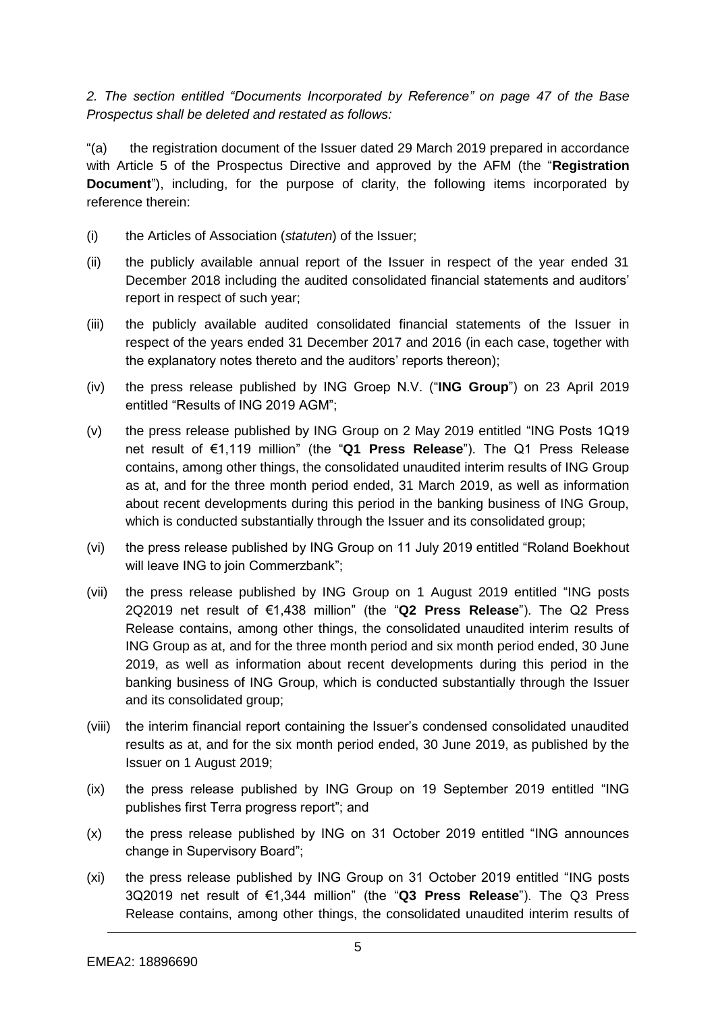*2. The section entitled "Documents Incorporated by Reference" on page 47 of the Base Prospectus shall be deleted and restated as follows:*

"(a) the registration document of the Issuer dated 29 March 2019 prepared in accordance with Article 5 of the Prospectus Directive and approved by the AFM (the "**Registration Document**"), including, for the purpose of clarity, the following items incorporated by reference therein:

- (i) the Articles of Association (*statuten*) of the Issuer;
- (ii) the publicly available annual report of the Issuer in respect of the year ended 31 December 2018 including the audited consolidated financial statements and auditors' report in respect of such year;
- (iii) the publicly available audited consolidated financial statements of the Issuer in respect of the years ended 31 December 2017 and 2016 (in each case, together with the explanatory notes thereto and the auditors' reports thereon);
- (iv) the press release published by ING Groep N.V. ("**ING Group**") on 23 April 2019 entitled "Results of ING 2019 AGM";
- (v) the press release published by ING Group on 2 May 2019 entitled "ING Posts 1Q19 net result of €1,119 million" (the "**Q1 Press Release**"). The Q1 Press Release contains, among other things, the consolidated unaudited interim results of ING Group as at, and for the three month period ended, 31 March 2019, as well as information about recent developments during this period in the banking business of ING Group, which is conducted substantially through the Issuer and its consolidated group;
- (vi) the press release published by ING Group on 11 July 2019 entitled "Roland Boekhout will leave ING to join Commerzbank";
- (vii) the press release published by ING Group on 1 August 2019 entitled "ING posts 2Q2019 net result of €1,438 million" (the "**Q2 Press Release**"). The Q2 Press Release contains, among other things, the consolidated unaudited interim results of ING Group as at, and for the three month period and six month period ended, 30 June 2019, as well as information about recent developments during this period in the banking business of ING Group, which is conducted substantially through the Issuer and its consolidated group;
- (viii) the interim financial report containing the Issuer's condensed consolidated unaudited results as at, and for the six month period ended, 30 June 2019, as published by the Issuer on 1 August 2019;
- (ix) the press release published by ING Group on 19 September 2019 entitled "ING publishes first Terra progress report"; and
- (x) the press release published by ING on 31 October 2019 entitled "ING announces change in Supervisory Board";
- (xi) the press release published by ING Group on 31 October 2019 entitled "ING posts 3Q2019 net result of €1,344 million" (the "**Q3 Press Release**"). The Q3 Press Release contains, among other things, the consolidated unaudited interim results of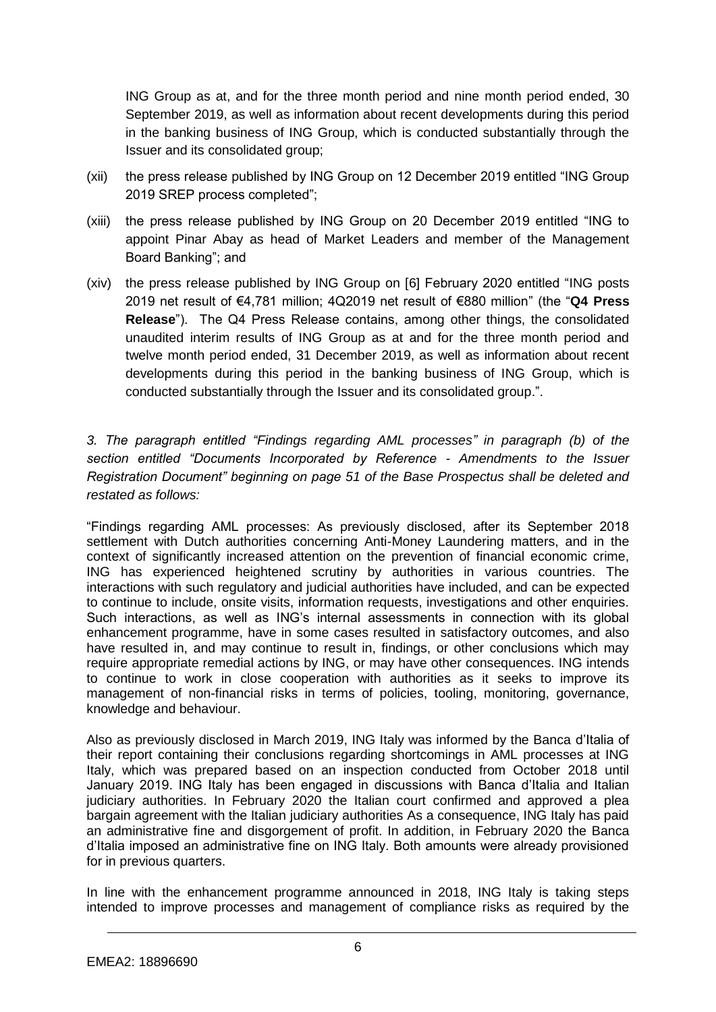ING Group as at, and for the three month period and nine month period ended, 30 September 2019, as well as information about recent developments during this period in the banking business of ING Group, which is conducted substantially through the Issuer and its consolidated group;

- (xii) the press release published by ING Group on 12 December 2019 entitled "ING Group 2019 SREP process completed";
- (xiii) the press release published by ING Group on 20 December 2019 entitled "ING to appoint Pinar Abay as head of Market Leaders and member of the Management Board Banking"; and
- (xiv) the press release published by ING Group on [6] February 2020 entitled "ING posts 2019 net result of €4,781 million; 4Q2019 net result of €880 million" (the "**Q4 Press Release**"). The Q4 Press Release contains, among other things, the consolidated unaudited interim results of ING Group as at and for the three month period and twelve month period ended, 31 December 2019, as well as information about recent developments during this period in the banking business of ING Group, which is conducted substantially through the Issuer and its consolidated group.".

*3. The paragraph entitled "Findings regarding AML processes" in paragraph (b) of the section entitled "Documents Incorporated by Reference - Amendments to the Issuer Registration Document" beginning on page 51 of the Base Prospectus shall be deleted and restated as follows:* 

"Findings regarding AML processes: As previously disclosed, after its September 2018 settlement with Dutch authorities concerning Anti-Money Laundering matters, and in the context of significantly increased attention on the prevention of financial economic crime, ING has experienced heightened scrutiny by authorities in various countries. The interactions with such regulatory and judicial authorities have included, and can be expected to continue to include, onsite visits, information requests, investigations and other enquiries. Such interactions, as well as ING's internal assessments in connection with its global enhancement programme, have in some cases resulted in satisfactory outcomes, and also have resulted in, and may continue to result in, findings, or other conclusions which may require appropriate remedial actions by ING, or may have other consequences. ING intends to continue to work in close cooperation with authorities as it seeks to improve its management of non-financial risks in terms of policies, tooling, monitoring, governance, knowledge and behaviour.

Also as previously disclosed in March 2019, ING Italy was informed by the Banca d'Italia of their report containing their conclusions regarding shortcomings in AML processes at ING Italy, which was prepared based on an inspection conducted from October 2018 until January 2019. ING Italy has been engaged in discussions with Banca d'Italia and Italian judiciary authorities. In February 2020 the Italian court confirmed and approved a plea bargain agreement with the Italian judiciary authorities As a consequence, ING Italy has paid an administrative fine and disgorgement of profit. In addition, in February 2020 the Banca d'Italia imposed an administrative fine on ING Italy. Both amounts were already provisioned for in previous quarters.

In line with the enhancement programme announced in 2018, ING Italy is taking steps intended to improve processes and management of compliance risks as required by the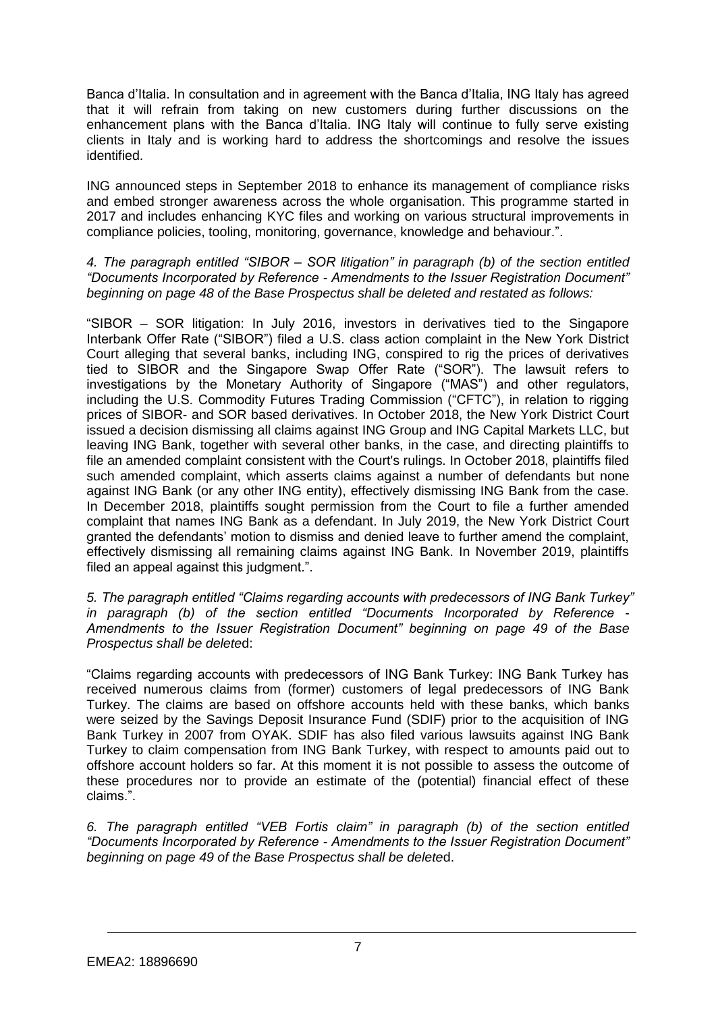Banca d'Italia. In consultation and in agreement with the Banca d'Italia, ING Italy has agreed that it will refrain from taking on new customers during further discussions on the enhancement plans with the Banca d'Italia. ING Italy will continue to fully serve existing clients in Italy and is working hard to address the shortcomings and resolve the issues identified.

ING announced steps in September 2018 to enhance its management of compliance risks and embed stronger awareness across the whole organisation. This programme started in 2017 and includes enhancing KYC files and working on various structural improvements in compliance policies, tooling, monitoring, governance, knowledge and behaviour.".

#### *4. The paragraph entitled "SIBOR – SOR litigation" in paragraph (b) of the section entitled "Documents Incorporated by Reference - Amendments to the Issuer Registration Document" beginning on page 48 of the Base Prospectus shall be deleted and restated as follows:*

"SIBOR – SOR litigation: In July 2016, investors in derivatives tied to the Singapore Interbank Offer Rate ("SIBOR") filed a U.S. class action complaint in the New York District Court alleging that several banks, including ING, conspired to rig the prices of derivatives tied to SIBOR and the Singapore Swap Offer Rate ("SOR"). The lawsuit refers to investigations by the Monetary Authority of Singapore ("MAS") and other regulators, including the U.S. Commodity Futures Trading Commission ("CFTC"), in relation to rigging prices of SIBOR- and SOR based derivatives. In October 2018, the New York District Court issued a decision dismissing all claims against ING Group and ING Capital Markets LLC, but leaving ING Bank, together with several other banks, in the case, and directing plaintiffs to file an amended complaint consistent with the Court's rulings. In October 2018, plaintiffs filed such amended complaint, which asserts claims against a number of defendants but none against ING Bank (or any other ING entity), effectively dismissing ING Bank from the case. In December 2018, plaintiffs sought permission from the Court to file a further amended complaint that names ING Bank as a defendant. In July 2019, the New York District Court granted the defendants' motion to dismiss and denied leave to further amend the complaint, effectively dismissing all remaining claims against ING Bank. In November 2019, plaintiffs filed an appeal against this judgment.".

*5. The paragraph entitled "Claims regarding accounts with predecessors of ING Bank Turkey" in paragraph (b) of the section entitled "Documents Incorporated by Reference - Amendments to the Issuer Registration Document" beginning on page 49 of the Base Prospectus shall be delete*d:

"Claims regarding accounts with predecessors of ING Bank Turkey: ING Bank Turkey has received numerous claims from (former) customers of legal predecessors of ING Bank Turkey. The claims are based on offshore accounts held with these banks, which banks were seized by the Savings Deposit Insurance Fund (SDIF) prior to the acquisition of ING Bank Turkey in 2007 from OYAK. SDIF has also filed various lawsuits against ING Bank Turkey to claim compensation from ING Bank Turkey, with respect to amounts paid out to offshore account holders so far. At this moment it is not possible to assess the outcome of these procedures nor to provide an estimate of the (potential) financial effect of these claims.".

*6. The paragraph entitled "VEB Fortis claim" in paragraph (b) of the section entitled "Documents Incorporated by Reference - Amendments to the Issuer Registration Document" beginning on page 49 of the Base Prospectus shall be delete*d.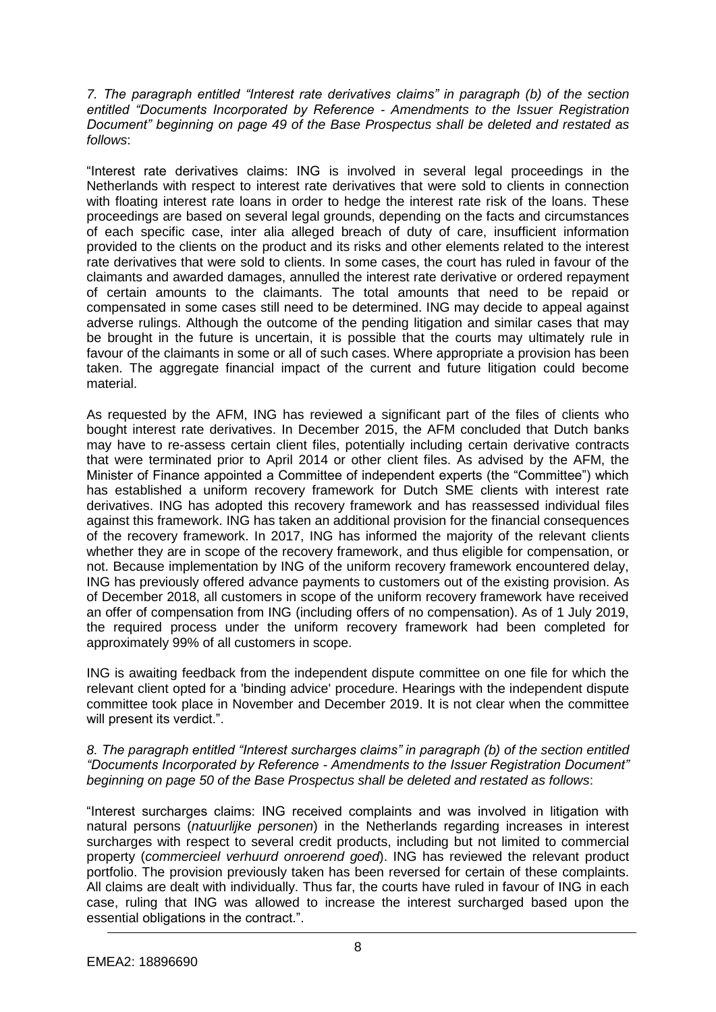*7. The paragraph entitled "Interest rate derivatives claims" in paragraph (b) of the section entitled "Documents Incorporated by Reference - Amendments to the Issuer Registration Document" beginning on page 49 of the Base Prospectus shall be deleted and restated as follows*:

"Interest rate derivatives claims: ING is involved in several legal proceedings in the Netherlands with respect to interest rate derivatives that were sold to clients in connection with floating interest rate loans in order to hedge the interest rate risk of the loans. These proceedings are based on several legal grounds, depending on the facts and circumstances of each specific case, inter alia alleged breach of duty of care, insufficient information provided to the clients on the product and its risks and other elements related to the interest rate derivatives that were sold to clients. In some cases, the court has ruled in favour of the claimants and awarded damages, annulled the interest rate derivative or ordered repayment of certain amounts to the claimants. The total amounts that need to be repaid or compensated in some cases still need to be determined. ING may decide to appeal against adverse rulings. Although the outcome of the pending litigation and similar cases that may be brought in the future is uncertain, it is possible that the courts may ultimately rule in favour of the claimants in some or all of such cases. Where appropriate a provision has been taken. The aggregate financial impact of the current and future litigation could become material.

As requested by the AFM, ING has reviewed a significant part of the files of clients who bought interest rate derivatives. In December 2015, the AFM concluded that Dutch banks may have to re-assess certain client files, potentially including certain derivative contracts that were terminated prior to April 2014 or other client files. As advised by the AFM, the Minister of Finance appointed a Committee of independent experts (the "Committee") which has established a uniform recovery framework for Dutch SME clients with interest rate derivatives. ING has adopted this recovery framework and has reassessed individual files against this framework. ING has taken an additional provision for the financial consequences of the recovery framework. In 2017, ING has informed the majority of the relevant clients whether they are in scope of the recovery framework, and thus eligible for compensation, or not. Because implementation by ING of the uniform recovery framework encountered delay, ING has previously offered advance payments to customers out of the existing provision. As of December 2018, all customers in scope of the uniform recovery framework have received an offer of compensation from ING (including offers of no compensation). As of 1 July 2019, the required process under the uniform recovery framework had been completed for approximately 99% of all customers in scope.

ING is awaiting feedback from the independent dispute committee on one file for which the relevant client opted for a 'binding advice' procedure. Hearings with the independent dispute committee took place in November and December 2019. It is not clear when the committee will present its verdict.".

#### *8. The paragraph entitled "Interest surcharges claims" in paragraph (b) of the section entitled "Documents Incorporated by Reference - Amendments to the Issuer Registration Document" beginning on page 50 of the Base Prospectus shall be deleted and restated as follows*:

"Interest surcharges claims: ING received complaints and was involved in litigation with natural persons (*natuurlijke personen*) in the Netherlands regarding increases in interest surcharges with respect to several credit products, including but not limited to commercial property (*commercieel verhuurd onroerend goed*). ING has reviewed the relevant product portfolio. The provision previously taken has been reversed for certain of these complaints. All claims are dealt with individually. Thus far, the courts have ruled in favour of ING in each case, ruling that ING was allowed to increase the interest surcharged based upon the essential obligations in the contract.".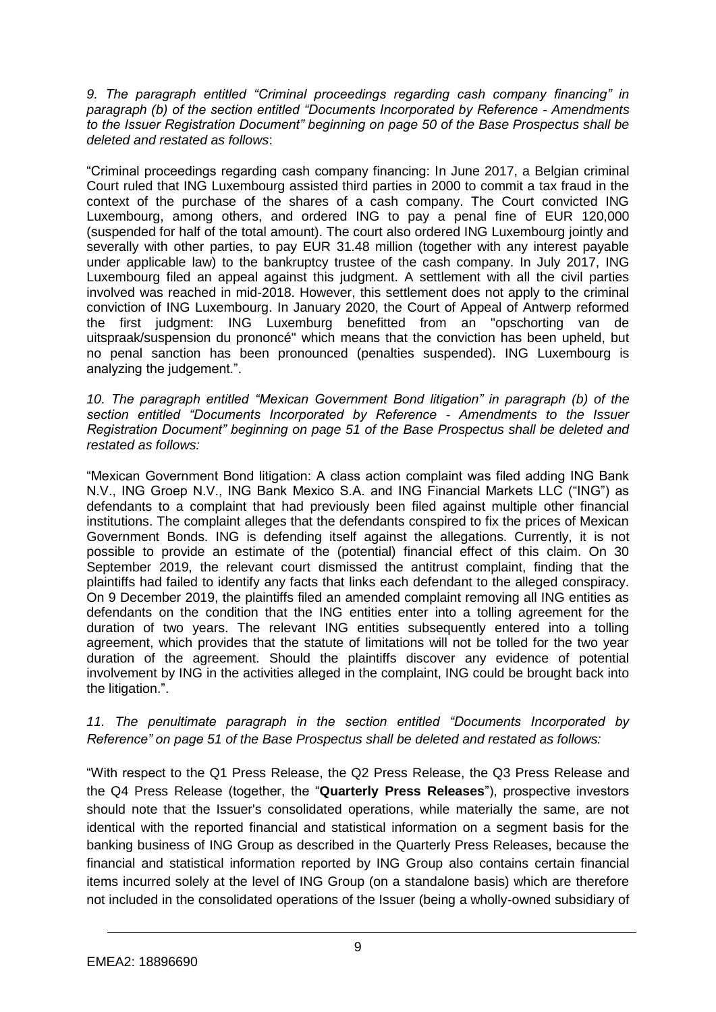*9. The paragraph entitled "Criminal proceedings regarding cash company financing" in paragraph (b) of the section entitled "Documents Incorporated by Reference - Amendments to the Issuer Registration Document" beginning on page 50 of the Base Prospectus shall be deleted and restated as follows*:

"Criminal proceedings regarding cash company financing: In June 2017, a Belgian criminal Court ruled that ING Luxembourg assisted third parties in 2000 to commit a tax fraud in the context of the purchase of the shares of a cash company. The Court convicted ING Luxembourg, among others, and ordered ING to pay a penal fine of EUR 120,000 (suspended for half of the total amount). The court also ordered ING Luxembourg jointly and severally with other parties, to pay EUR 31.48 million (together with any interest payable under applicable law) to the bankruptcy trustee of the cash company. In July 2017, ING Luxembourg filed an appeal against this judgment. A settlement with all the civil parties involved was reached in mid-2018. However, this settlement does not apply to the criminal conviction of ING Luxembourg. In January 2020, the Court of Appeal of Antwerp reformed the first judgment: ING Luxemburg benefitted from an "opschorting van de uitspraak/suspension du prononcé" which means that the conviction has been upheld, but no penal sanction has been pronounced (penalties suspended). ING Luxembourg is analyzing the judgement.".

*10. The paragraph entitled "Mexican Government Bond litigation" in paragraph (b) of the section entitled "Documents Incorporated by Reference - Amendments to the Issuer Registration Document" beginning on page 51 of the Base Prospectus shall be deleted and restated as follows:*

"Mexican Government Bond litigation: A class action complaint was filed adding ING Bank N.V., ING Groep N.V., ING Bank Mexico S.A. and ING Financial Markets LLC ("ING") as defendants to a complaint that had previously been filed against multiple other financial institutions. The complaint alleges that the defendants conspired to fix the prices of Mexican Government Bonds. ING is defending itself against the allegations. Currently, it is not possible to provide an estimate of the (potential) financial effect of this claim. On 30 September 2019, the relevant court dismissed the antitrust complaint, finding that the plaintiffs had failed to identify any facts that links each defendant to the alleged conspiracy. On 9 December 2019, the plaintiffs filed an amended complaint removing all ING entities as defendants on the condition that the ING entities enter into a tolling agreement for the duration of two years. The relevant ING entities subsequently entered into a tolling agreement, which provides that the statute of limitations will not be tolled for the two year duration of the agreement. Should the plaintiffs discover any evidence of potential involvement by ING in the activities alleged in the complaint, ING could be brought back into the litigation.".

### *11. The penultimate paragraph in the section entitled "Documents Incorporated by Reference" on page 51 of the Base Prospectus shall be deleted and restated as follows:*

"With respect to the Q1 Press Release, the Q2 Press Release, the Q3 Press Release and the Q4 Press Release (together, the "**Quarterly Press Releases**"), prospective investors should note that the Issuer's consolidated operations, while materially the same, are not identical with the reported financial and statistical information on a segment basis for the banking business of ING Group as described in the Quarterly Press Releases, because the financial and statistical information reported by ING Group also contains certain financial items incurred solely at the level of ING Group (on a standalone basis) which are therefore not included in the consolidated operations of the Issuer (being a wholly-owned subsidiary of